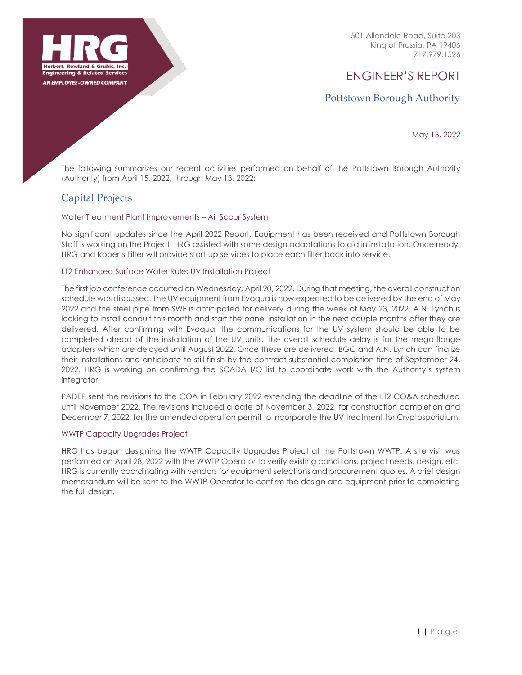

501 Allendale Road, Suite 203 King of Prussia, PA 19406 717.979.1526

# ENGINEER'S REPORT

# Pottstown Borough Authority

May 13, 2022

The following summarizes our recent activities performed on behalf of the Pottstown Borough Authority (Authority) from April 15, 2022, through May 13, 2022:

# Capital Projects

### Water Treatment Plant Improvements – Air Scour System

No significant updates since the April 2022 Report. Equipment has been received and Pottstown Borough Staff is working on the Project. HRG assisted with some design adaptations to aid in installation. Once ready, HRG and Roberts Filter will provide start-up services to place each filter back into service.

### LT2 Enhanced Surface Water Rule: UV Installation Project

The first job conference occurred on Wednesday, April 20, 2022. During that meeting, the overall construction schedule was discussed. The UV equipment from Evoqua is now expected to be delivered by the end of May 2022 and the steel pipe from SWF is anticipated for delivery during the week of May 23, 2022. A.N. Lynch is looking to install conduit this month and start the panel installation in the next couple months after they are delivered. After confirming with Evoqua, the communications for the UV system should be able to be completed ahead of the installation of the UV units. The overall schedule delay is for the mega-flange adapters which are delayed until August 2022. Once these are delivered, BGC and A.N. Lynch can finalize their installations and anticipate to still finish by the contract substantial completion time of September 24, 2022. HRG is working on confirming the SCADA I/O list to coordinate work with the Authority's system integrator.

PADEP sent the revisions to the COA in February 2022 extending the deadline of the LT2 CO&A scheduled until November 2022. The revisions included a date of November 3, 2022, for construction completion and December 7, 2022, for the amended operation permit to incorporate the UV treatment for Cryptosporidium.

### WWTP Capacity Upgrades Project

HRG has begun designing the WWTP Capacity Upgrades Project at the Pottstown WWTP. A site visit was performed on April 28, 2022 with the WWTP Operator to verify existing conditions, project needs, design, etc. HRG is currently coordinating with vendors for equipment selections and procurement quotes. A brief design memorandum will be sent to the WWTP Operator to confirm the design and equipment prior to completing the full design.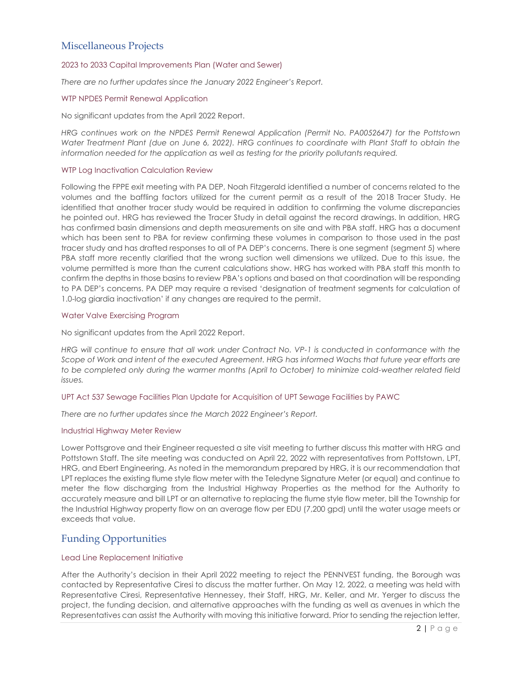# Miscellaneous Projects

### 2023 to 2033 Capital Improvements Plan (Water and Sewer)

*There are no further updates since the January 2022 Engineer's Report.*

### WTP NPDES Permit Renewal Application

No significant updates from the April 2022 Report.

*HRG continues work on the NPDES Permit Renewal Application (Permit No. PA0052647) for the Pottstown Water Treatment Plant (due on June 6, 2022). HRG continues to coordinate with Plant Staff to obtain the information needed for the application as well as testing for the priority pollutants required.*

### WTP Log Inactivation Calculation Review

Following the FPPE exit meeting with PA DEP, Noah Fitzgerald identified a number of concerns related to the volumes and the baffling factors utilized for the current permit as a result of the 2018 Tracer Study. He identified that another tracer study would be required in addition to confirming the volume discrepancies he pointed out. HRG has reviewed the Tracer Study in detail against the record drawings. In addition, HRG has confirmed basin dimensions and depth measurements on site and with PBA staff. HRG has a document which has been sent to PBA for review confirming these volumes in comparison to those used in the past tracer study and has drafted responses to all of PA DEP's concerns. There is one segment (segment 5) where PBA staff more recently clarified that the wrong suction well dimensions we utilized. Due to this issue, the volume permitted is more than the current calculations show. HRG has worked with PBA staff this month to confirm the depths in those basins to review PBA's options and based on that coordination will be responding to PA DEP's concerns. PA DEP may require a revised 'designation of treatment segments for calculation of 1.0-log giardia inactivation' if any changes are required to the permit.

### Water Valve Exercising Program

No significant updates from the April 2022 Report.

*HRG will continue to ensure that all work under Contract No. VP-1 is conducted in conformance with the Scope of Work and intent of the executed Agreement. HRG has informed Wachs that future year efforts are to be completed only during the warmer months (April to October) to minimize cold-weather related field issues.*

#### UPT Act 537 Sewage Facilities Plan Update for Acquisition of UPT Sewage Facilities by PAWC

*There are no further updates since the March 2022 Engineer's Report.*

### Industrial Highway Meter Review

Lower Pottsgrove and their Engineer requested a site visit meeting to further discuss this matter with HRG and Pottstown Staff. The site meeting was conducted on April 22, 2022 with representatives from Pottstown, LPT, HRG, and Ebert Engineering. As noted in the memorandum prepared by HRG, it is our recommendation that LPT replaces the existing flume style flow meter with the Teledyne Signature Meter (or equal) and continue to meter the flow discharging from the Industrial Highway Properties as the method for the Authority to accurately measure and bill LPT or an alternative to replacing the flume style flow meter, bill the Township for the Industrial Highway property flow on an average flow per EDU (7,200 gpd) until the water usage meets or exceeds that value.

## Funding Opportunities

### Lead Line Replacement Initiative

After the Authority's decision in their April 2022 meeting to reject the PENNVEST funding, the Borough was contacted by Representative Ciresi to discuss the matter further. On May 12, 2022, a meeting was held with Representative Ciresi, Representative Hennessey, their Staff, HRG, Mr. Keller, and Mr. Yerger to discuss the project, the funding decision, and alternative approaches with the funding as well as avenues in which the Representatives can assist the Authority with moving this initiative forward. Prior to sending the rejection letter,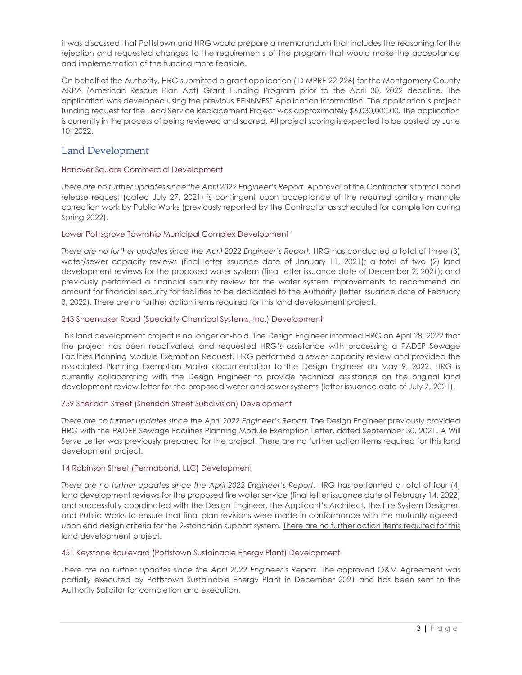it was discussed that Pottstown and HRG would prepare a memorandum that includes the reasoning for the rejection and requested changes to the requirements of the program that would make the acceptance and implementation of the funding more feasible.

On behalf of the Authority, HRG submitted a grant application (ID MPRF-22-226) for the Montgomery County ARPA (American Rescue Plan Act) Grant Funding Program prior to the April 30, 2022 deadline. The application was developed using the previous PENNVEST Application information. The application's project funding request for the Lead Service Replacement Project was approximately \$6,030,000.00. The application is currently in the process of being reviewed and scored. All project scoring is expected to be posted by June 10, 2022.

# Land Development

### Hanover Square Commercial Development

*There are no further updates since the April 2022 Engineer's Report.* Approval of the Contractor's formal bond release request (dated July 27, 2021) is contingent upon acceptance of the required sanitary manhole correction work by Public Works (previously reported by the Contractor as scheduled for completion during Spring 2022).

### Lower Pottsgrove Township Municipal Complex Development

*There are no further updates since the April 2022 Engineer's Report.* HRG has conducted a total of three (3) water/sewer capacity reviews (final letter issuance date of January 11, 2021); a total of two (2) land development reviews for the proposed water system (final letter issuance date of December 2, 2021); and previously performed a financial security review for the water system improvements to recommend an amount for financial security for facilities to be dedicated to the Authority (letter issuance date of February 3, 2022). There are no further action items required for this land development project.

### 243 Shoemaker Road (Specialty Chemical Systems, Inc.) Development

This land development project is no longer on-hold. The Design Engineer informed HRG on April 28, 2022 that the project has been reactivated, and requested HRG's assistance with processing a PADEP Sewage Facilities Planning Module Exemption Request. HRG performed a sewer capacity review and provided the associated Planning Exemption Mailer documentation to the Design Engineer on May 9, 2022. HRG is currently collaborating with the Design Engineer to provide technical assistance on the original land development review letter for the proposed water and sewer systems (letter issuance date of July 7, 2021).

### 759 Sheridan Street (Sheridan Street Subdivision) Development

*There are no further updates since the April 2022 Engineer's Report.* The Design Engineer previously provided HRG with the PADEP Sewage Facilities Planning Module Exemption Letter, dated September 30, 2021. A Will Serve Letter was previously prepared for the project. There are no further action items required for this land development project.

### 14 Robinson Street (Permabond, LLC) Development

*There are no further updates since the April 2022 Engineer's Report.* HRG has performed a total of four (4) land development reviews for the proposed fire water service (final letter issuance date of February 14, 2022) and successfully coordinated with the Design Engineer, the Applicant's Architect, the Fire System Designer, and Public Works to ensure that final plan revisions were made in conformance with the mutually agreedupon end design criteria for the 2-stanchion support system. There are no further action items required for this land development project.

### 451 Keystone Boulevard (Pottstown Sustainable Energy Plant) Development

*There are no further updates since the April 2022 Engineer's Report.* The approved O&M Agreement was partially executed by Pottstown Sustainable Energy Plant in December 2021 and has been sent to the Authority Solicitor for completion and execution.